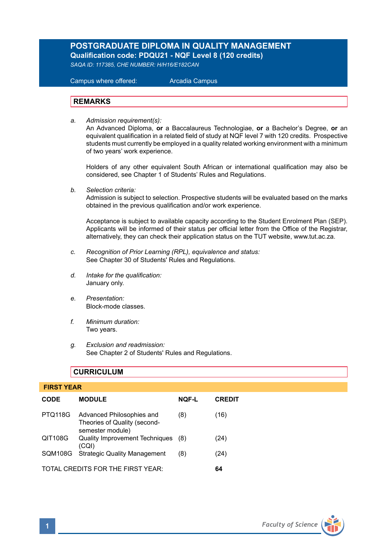# **POSTGRADUATE DIPLOMA IN QUALITY MANAGEMENT Qualification code: PDQU21 - NQF Level 8 (120 credits)**

*SAQA ID: 117385, CHE NUMBER: H/H16/E182CAN*

 Campus where offered: Arcadia Campus

### **REMARKS**

*a. Admission requirement(s):* 

An Advanced Diploma, **or** a Baccalaureus Technologiae, **or** a Bachelor's Degree, **or** an equivalent qualification in a related field of study at NQF level 7 with 120 credits. Prospective students must currently be employed in a quality related working environment with a minimum of two years' work experience.

Holders of any other equivalent South African or international qualification may also be considered, see Chapter 1 of Students' Rules and Regulations.

*b. Selection criteria:*

Admission is subject to selection. Prospective students will be evaluated based on the marks obtained in the previous qualification and/or work experience.

Acceptance is subject to available capacity according to the Student Enrolment Plan (SEP). Applicants will be informed of their status per official letter from the Office of the Registrar, alternatively, they can check their application status on the TUT website, www.tut.ac.za.

- *c. Recognition of Prior Learning (RPL), equivalence and status:* See Chapter 30 of Students' Rules and Regulations.
- *d. Intake for the qualification:* January only.
- *e. Presentation:* Block-mode classes.
- *f. Minimum duration:* Two years.
- *g. Exclusion and readmission:* See Chapter 2 of Students' Rules and Regulations.

# **CURRICULUM**

# **FIRST YEAR CODE MODULE NQF-L CREDIT** PTQ118G Advanced Philosophies and (8) (16) Theories of Quality (secondsemester module) QIT108G Quality Improvement Techniques (8) (24) (CQI) SQM108G Strategic Quality Management (8) (24) TOTAL CREDITS FOR THE FIRST YEAR: **64**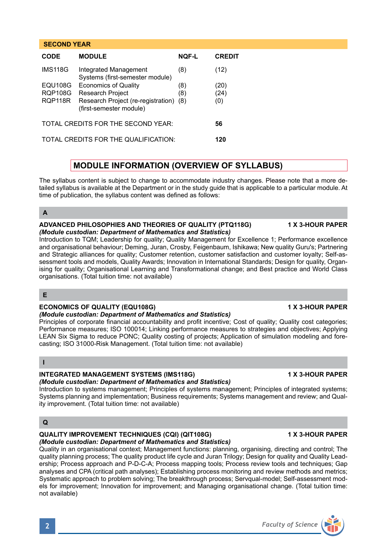# **CODE MODULE NQF-L CREDIT** IMS118G Integrated Management (8) (12) Systems (first-semester module) EQU108G Economics of Quality (8) (20) RQP108G Research Project (8) (24)<br>ROP118R Research Project (re-registration) (8) (0) Research Project (re-registration) (8) (0) (first-semester module) TOTAL CREDITS FOR THE SECOND YEAR: **56** TOTAL CREDITS FOR THE QUALIFICATION: **120**

# **MODULE INFORMATION (OVERVIEW OF SYLLABUS)**

The syllabus content is subject to change to accommodate industry changes. Please note that a more detailed syllabus is available at the Department or in the study guide that is applicable to a particular module. At time of publication, the syllabus content was defined as follows:

# **A**

 **SECOND YEAR** 

#### **ADVANCED PHILOSOPHIES AND THEORIES OF QUALITY (PTQ118G) 1 X 3-HOUR PAPER** *(Module custodian: Department of Mathematics and Statistics)*

Introduction to TQM; Leadership for quality; Quality Management for Excellence 1; Performance excellence and organisational behaviour; Deming, Juran, Crosby, Feigenbaum, Ishikawa; New quality Guru's; Partnering and Strategic alliances for quality; Customer retention, customer satisfaction and customer loyalty; Self-assessment tools and models, Quality Awards; Innovation in International Standards; Design for quality, Organising for quality; Organisational Learning and Transformational change; and Best practice and World Class organisations. (Total tuition time: not available)

# **E**

# **ECONOMICS OF QUALITY (EQU108G) 1 X 3-HOUR PAPER**

# *(Module custodian: Department of Mathematics and Statistics)*

Principles of corporate financial accountability and profit incentive; Cost of quality; Quality cost categories; Performance measures; ISO 100014; Linking performance measures to strategies and objectives; Applying LEAN Six Sigma to reduce PONC; Quality costing of projects; Application of simulation modeling and forecasting; ISO 31000-Risk Management. (Total tuition time: not available)

# **I**

# **INTEGRATED MANAGEMENT SYSTEMS (IMS118G)** 1 X 3-HOUR PAPER

#### *(Module custodian: Department of Mathematics and Statistics)*

Introduction to systems management; Principles of systems management; Principles of integrated systems; Systems planning and implementation; Business requirements; Systems management and review; and Quality improvement. (Total tuition time: not available)

# **Q**

#### **QUALITY IMPROVEMENT TECHNIQUES (CQI) (QIT108G) 1 X 3-HOUR PAPER** *(Module custodian: Department of Mathematics and Statistics)*

Quality in an organisational context; Management functions: planning, organising, directing and control; The quality planning process; The quality product life cycle and Juran Trilogy; Design for quality and Quality Leadership; Process approach and P-D-C-A; Process mapping tools; Process review tools and techniques; Gap analyses and CPA (critical path analyses); Establishing process monitoring and review methods and metrics; Systematic approach to problem solving; The breakthrough process; Servqual-model; Self-assessment models for improvement; Innovation for improvement; and Managing organisational change. (Total tuition time: not available)